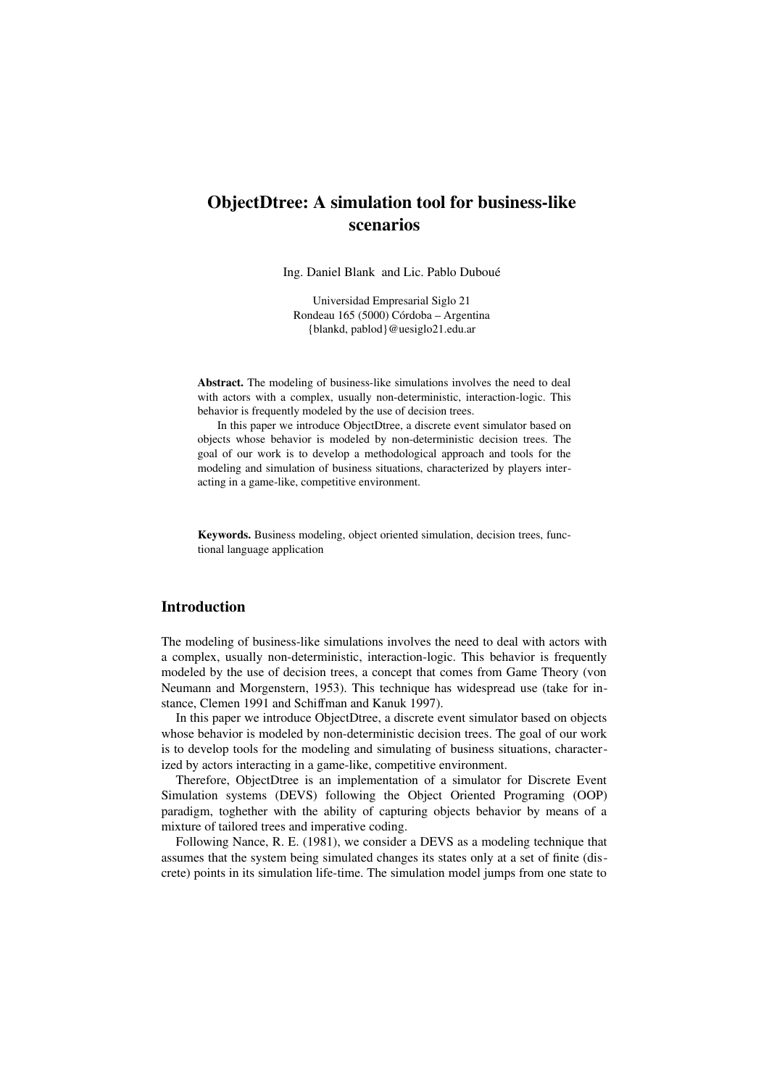# **ObjectDtree: A simulation tool for business-like scenarios**

Ing. Daniel Blank and Lic. Pablo Duboué

Universidad Empresarial Siglo 21 Rondeau 165 (5000) Córdoba – Argentina {blankd, pablod}@uesiglo21.edu.ar

**Abstract.** The modeling of business-like simulations involves the need to deal with actors with a complex, usually non-deterministic, interaction-logic. This behavior is frequently modeled by the use of decision trees.

 In this paper we introduce ObjectDtree, a discrete event simulator based on objects whose behavior is modeled by non-deterministic decision trees. The goal of our work is to develop a methodological approach and tools for the modeling and simulation of business situations, characterized by players interacting in a game-like, competitive environment.

**Keywords.** Business modeling, object oriented simulation, decision trees, functional language application

# **Introduction**

The modeling of business-like simulations involves the need to deal with actors with a complex, usually non-deterministic, interaction-logic. This behavior is frequently modeled by the use of decision trees, a concept that comes from Game Theory (von Neumann and Morgenstern, 1953). This technique has widespread use (take for instance, Clemen 1991 and Schiffman and Kanuk 1997).

In this paper we introduce ObjectDtree, a discrete event simulator based on objects whose behavior is modeled by non-deterministic decision trees. The goal of our work is to develop tools for the modeling and simulating of business situations, characterized by actors interacting in a game-like, competitive environment.

Therefore, ObjectDtree is an implementation of a simulator for Discrete Event Simulation systems (DEVS) following the Object Oriented Programing (OOP) paradigm, toghether with the ability of capturing objects behavior by means of a mixture of tailored trees and imperative coding.

Following Nance, R. E. (1981), we consider a DEVS as a modeling technique that assumes that the system being simulated changes its states only at a set of finite (discrete) points in its simulation life-time. The simulation model jumps from one state to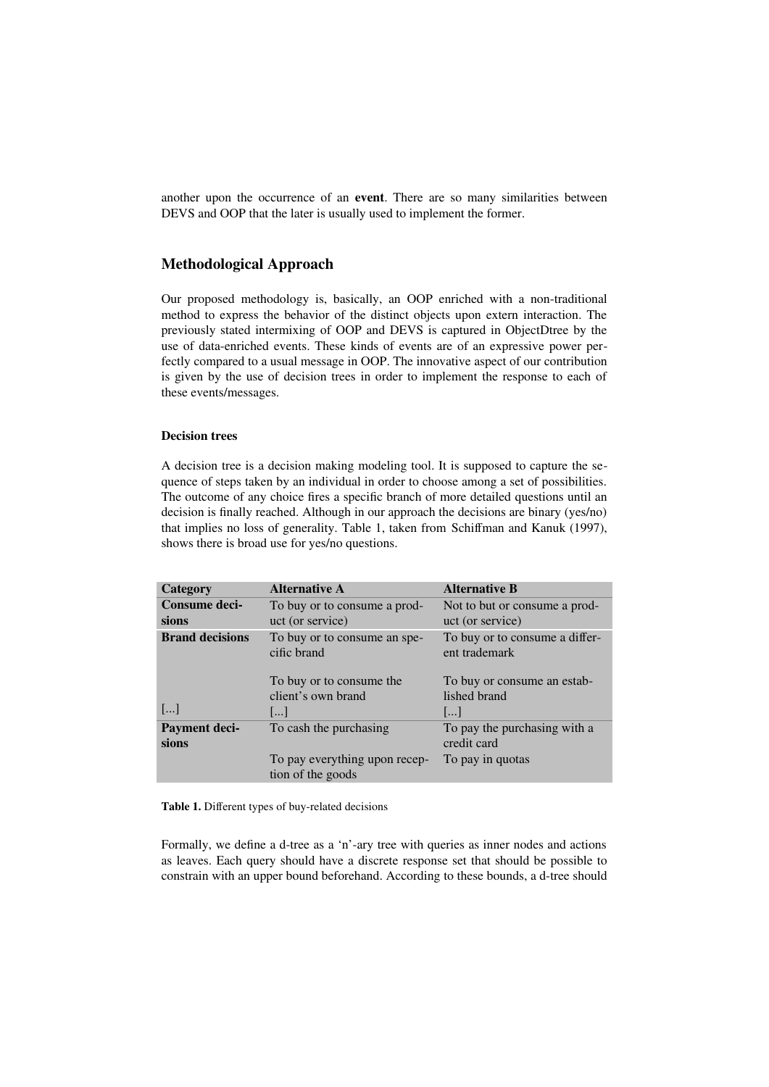another upon the occurrence of an **event**. There are so many similarities between DEVS and OOP that the later is usually used to implement the former.

# **Methodological Approach**

Our proposed methodology is, basically, an OOP enriched with a non-traditional method to express the behavior of the distinct objects upon extern interaction. The previously stated intermixing of OOP and DEVS is captured in ObjectDtree by the use of data-enriched events. These kinds of events are of an expressive power perfectly compared to a usual message in OOP. The innovative aspect of our contribution is given by the use of decision trees in order to implement the response to each of these events/messages.

#### **Decision trees**

A decision tree is a decision making modeling tool. It is supposed to capture the sequence of steps taken by an individual in order to choose among a set of possibilities. The outcome of any choice fires a specific branch of more detailed questions until an decision is finally reached. Although in our approach the decisions are binary (yes/no) that implies no loss of generality. Table 1, taken from Schiffman and Kanuk (1997), shows there is broad use for yes/no questions.

| Category               | <b>Alternative A</b>                               | <b>Alternative B</b>                            |  |
|------------------------|----------------------------------------------------|-------------------------------------------------|--|
| <b>Consume deci-</b>   | To buy or to consume a prod-                       | Not to but or consume a prod-                   |  |
| sions                  | uct (or service)                                   | uct (or service)                                |  |
| <b>Brand decisions</b> | To buy or to consume an spe-<br>cific brand        | To buy or to consume a differ-<br>ent trademark |  |
|                        | To buy or to consume the<br>client's own brand     | To buy or consume an estab-<br>lished brand     |  |
| $[]$                   | $\left   \right $                                  | $\left   \right $                               |  |
| Payment deci-<br>sions | To cash the purchasing                             | To pay the purchasing with a<br>credit card     |  |
|                        | To pay everything upon recep-<br>tion of the goods | To pay in quotas                                |  |

**Table 1.** Different types of buy-related decisions

Formally, we define a d-tree as a 'n'-ary tree with queries as inner nodes and actions as leaves. Each query should have a discrete response set that should be possible to constrain with an upper bound beforehand. According to these bounds, a d-tree should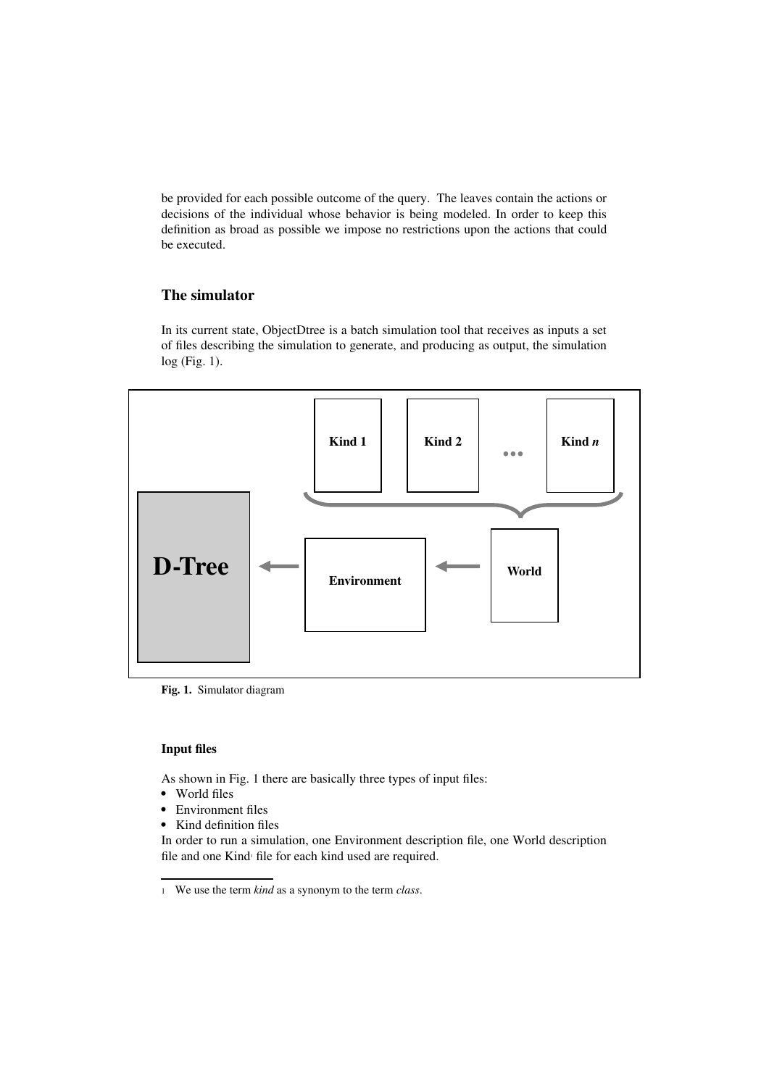be provided for each possible outcome of the query. The leaves contain the actions or decisions of the individual whose behavior is being modeled. In order to keep this definition as broad as possible we impose no restrictions upon the actions that could be executed.

# **The simulator**

In its current state, ObjectDtree is a batch simulation tool that receives as inputs a set of files describing the simulation to generate, and producing as output, the simulation log (Fig. 1).



**Fig. 1.** Simulator diagram

#### **Input files**

As shown in Fig. 1 there are basically three types of input files:

- World files
- Environment files
- Kind definition files

<span id="page-2-0"></span>In order to run a simulation, one Environment description file, one World description file and one Kind file for each kind used are required.

<span id="page-2-1"></span>[<sup>1</sup>](#page-2-0) We use the term *kind* as a synonym to the term *class*.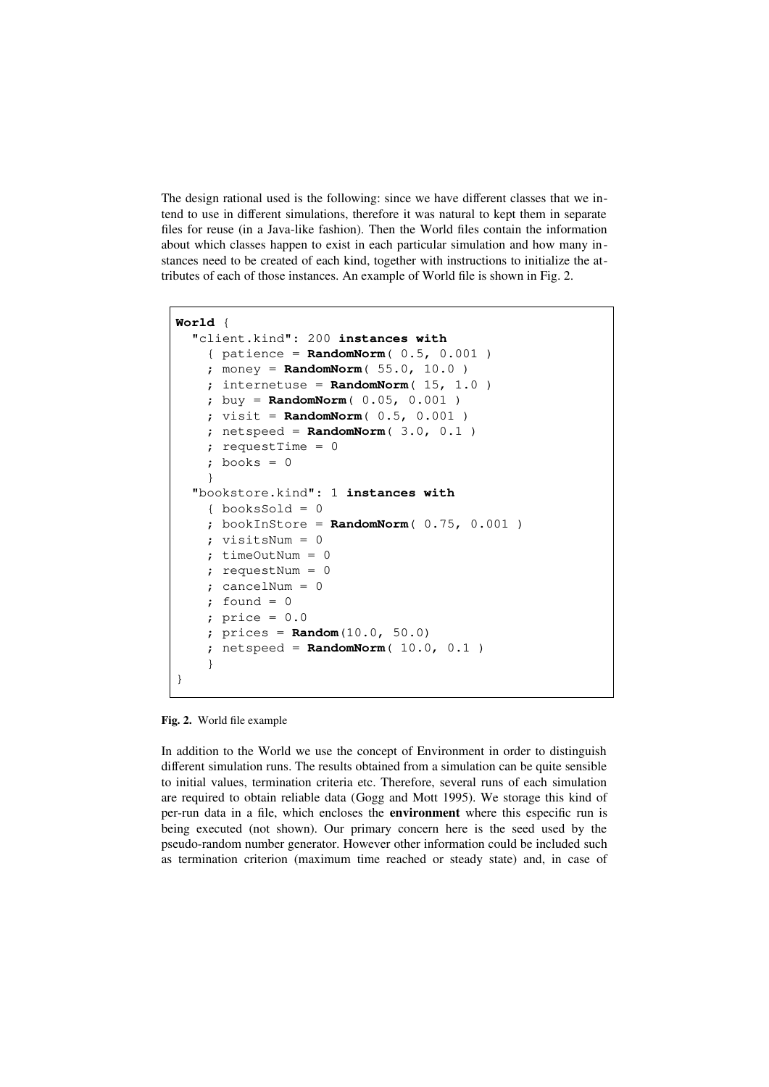The design rational used is the following: since we have different classes that we intend to use in different simulations, therefore it was natural to kept them in separate files for reuse (in a Java-like fashion). Then the World files contain the information about which classes happen to exist in each particular simulation and how many instances need to be created of each kind, together with instructions to initialize the attributes of each of those instances. An example of World file is shown in Fig. 2.

```
World {
   "client.kind": 200 instances with
     { patience = RandomNorm( 0.5, 0.001 )
     ; money = RandomNorm( 55.0, 10.0 )
    ; internetuse = RandomNorm( 15, 1.0 ) ; buy = RandomNorm( 0.05, 0.001 )
     ; visit = RandomNorm( 0.5, 0.001 )
     ; netspeed = RandomNorm( 3.0, 0.1 )
     ; requestTime = 0
    ; books = 0 }
   "bookstore.kind": 1 instances with
    \{ booksSold = 0
     ; bookInStore = RandomNorm( 0.75, 0.001 )
     ; visitsNum = 0
     ; timeOutNum = 0
     ; requestNum = 0
     ; cancelNum = 0
    ; found = 0 ; price = 0.0
     ; prices = Random(10.0, 50.0)
     ; netspeed = RandomNorm( 10.0, 0.1 )
     }
}
```
**Fig. 2.** World file example

In addition to the World we use the concept of Environment in order to distinguish different simulation runs. The results obtained from a simulation can be quite sensible to initial values, termination criteria etc. Therefore, several runs of each simulation are required to obtain reliable data (Gogg and Mott 1995). We storage this kind of per-run data in a file, which encloses the **environment** where this especific run is being executed (not shown). Our primary concern here is the seed used by the pseudo-random number generator. However other information could be included such as termination criterion (maximum time reached or steady state) and, in case of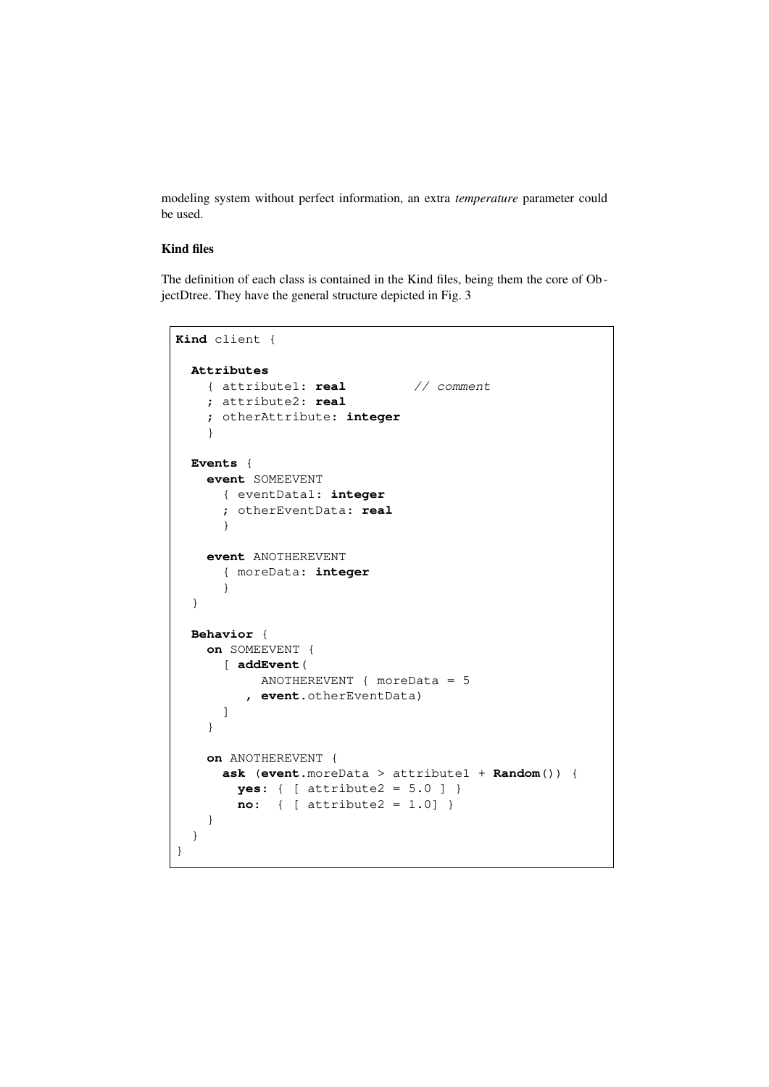modeling system without perfect information, an extra *temperature* parameter could be used.

## **Kind files**

The definition of each class is contained in the Kind files, being them the core of ObjectDtree. They have the general structure depicted in Fig. 3

```
Kind client {
   Attributes
     { attribute1: real // comment
     ; attribute2: real
     ; otherAttribute: integer
     }
   Events {
     event SOMEEVENT
       { eventData1: integer
       ; otherEventData: real
       }
     event ANOTHEREVENT
       { moreData: integer
       }
   }
   Behavior {
     on SOMEEVENT {
       [ addEvent(
            ANOTHEREVENT { moreData = 5 
          , event.otherEventData)
       ]
     }
     on ANOTHEREVENT {
       ask (event.moreData > attribute1 + Random()) {
         yes: { [ attribute2 = 5.0 ] }
         no: { [ attribute2 = 1.0] }
     }
   }
}
```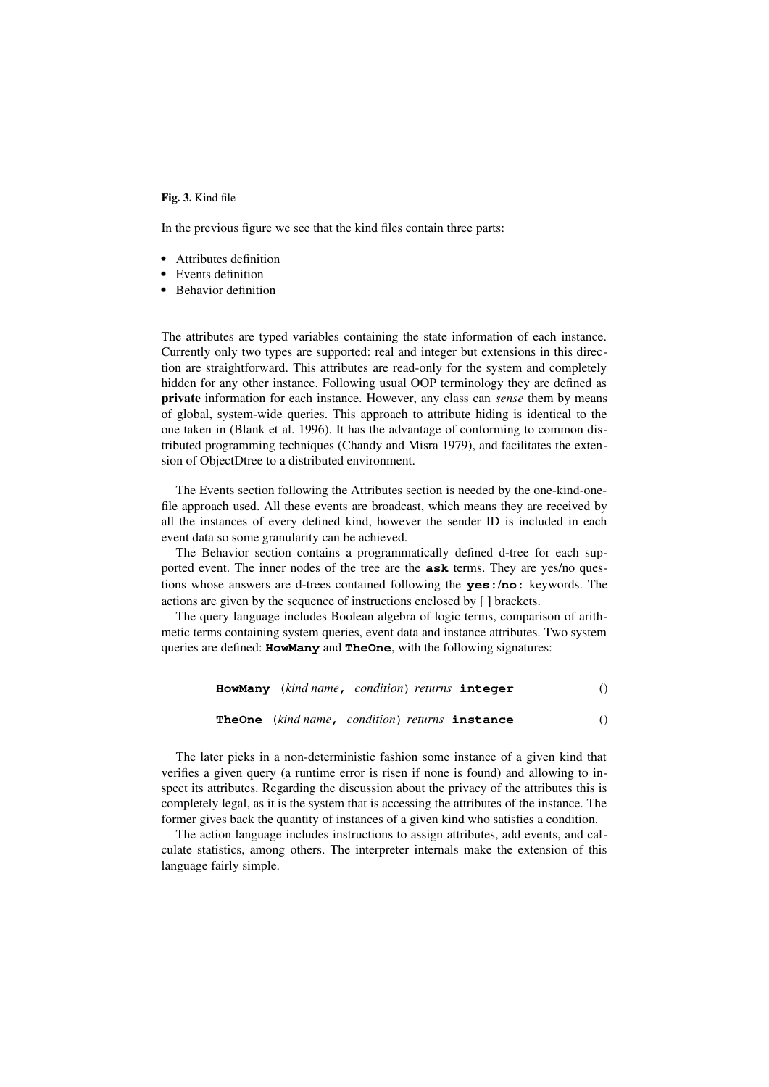**Fig. 3.** Kind file

In the previous figure we see that the kind files contain three parts:

- Attributes definition
- Events definition
- Behavior definition

The attributes are typed variables containing the state information of each instance. Currently only two types are supported: real and integer but extensions in this direction are straightforward. This attributes are read-only for the system and completely hidden for any other instance. Following usual OOP terminology they are defined as **private** information for each instance. However, any class can *sense* them by means of global, system-wide queries. This approach to attribute hiding is identical to the one taken in (Blank et al. 1996). It has the advantage of conforming to common distributed programming techniques (Chandy and Misra 1979), and facilitates the extension of ObjectDtree to a distributed environment.

The Events section following the Attributes section is needed by the one-kind-onefile approach used. All these events are broadcast, which means they are received by all the instances of every defined kind, however the sender ID is included in each event data so some granularity can be achieved.

The Behavior section contains a programmatically defined d-tree for each supported event. The inner nodes of the tree are the **ask** terms. They are yes/no questions whose answers are d-trees contained following the **yes:**/**no:** keywords. The actions are given by the sequence of instructions enclosed by [ ] brackets.

The query language includes Boolean algebra of logic terms, comparison of arithmetic terms containing system queries, event data and instance attributes. Two system queries are defined: **HowMany** and **TheOne**, with the following signatures:

|  | <b>HowMany</b> (kind name, condition) returns integer |  |
|--|-------------------------------------------------------|--|
|  | TheOne (kind name, condition) returns instance        |  |

The later picks in a non-deterministic fashion some instance of a given kind that verifies a given query (a runtime error is risen if none is found) and allowing to inspect its attributes. Regarding the discussion about the privacy of the attributes this is completely legal, as it is the system that is accessing the attributes of the instance. The former gives back the quantity of instances of a given kind who satisfies a condition.

The action language includes instructions to assign attributes, add events, and calculate statistics, among others. The interpreter internals make the extension of this language fairly simple.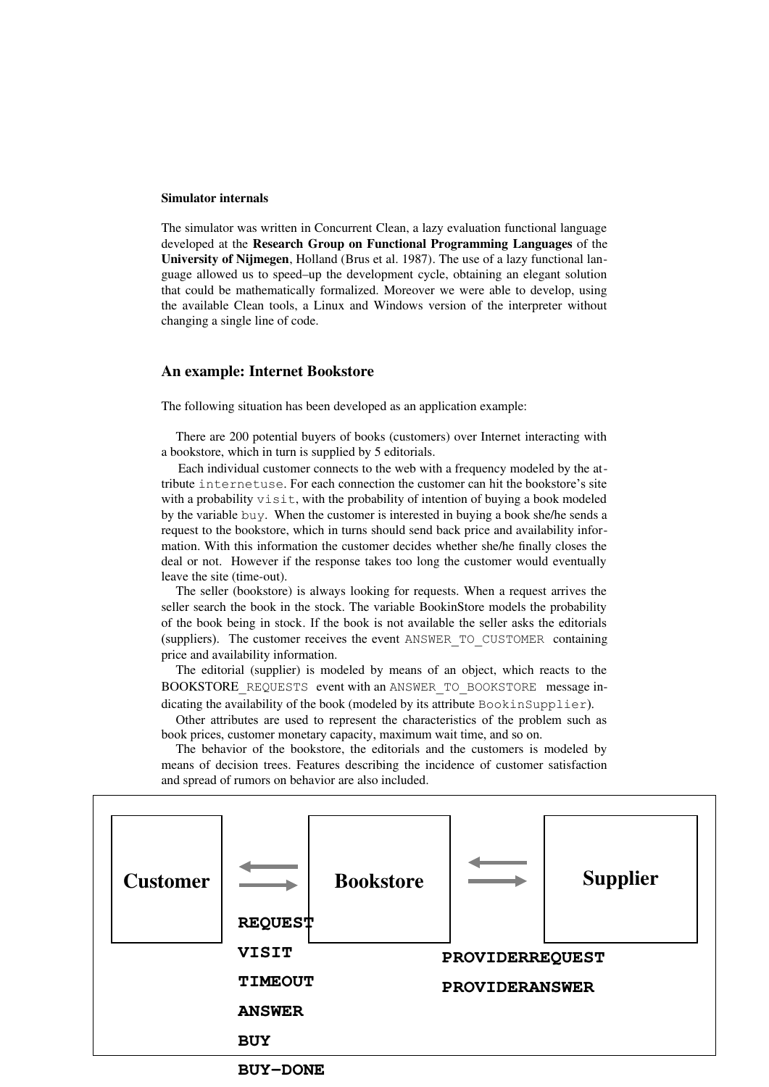#### **Simulator internals**

The simulator was written in Concurrent Clean, a lazy evaluation functional language developed at the **Research Group on Functional Programming Languages** of the **University of Nijmegen**, Holland (Brus et al. 1987). The use of a lazy functional language allowed us to speed–up the development cycle, obtaining an elegant solution that could be mathematically formalized. Moreover we were able to develop, using the available Clean tools, a Linux and Windows version of the interpreter without changing a single line of code.

#### **An example: Internet Bookstore**

The following situation has been developed as an application example:

There are 200 potential buyers of books (customers) over Internet interacting with a bookstore, which in turn is supplied by 5 editorials.

 Each individual customer connects to the web with a frequency modeled by the attribute internetuse. For each connection the customer can hit the bookstore's site with a probability visit, with the probability of intention of buying a book modeled by the variable buy. When the customer is interested in buying a book she/he sends a request to the bookstore, which in turns should send back price and availability information. With this information the customer decides whether she/he finally closes the deal or not. However if the response takes too long the customer would eventually leave the site (time-out).

The seller (bookstore) is always looking for requests. When a request arrives the seller search the book in the stock. The variable BookinStore models the probability of the book being in stock. If the book is not available the seller asks the editorials (suppliers). The customer receives the event ANSWER\_TO\_CUSTOMER containing price and availability information.

The editorial (supplier) is modeled by means of an object, which reacts to the BOOKSTORE\_REQUESTS\_event with an ANSWER\_TO\_BOOKSTORE\_message indicating the availability of the book (modeled by its attribute BookinSupplier).

Other attributes are used to represent the characteristics of the problem such as book prices, customer monetary capacity, maximum wait time, and so on.

The behavior of the bookstore, the editorials and the customers is modeled by means of decision trees. Features describing the incidence of customer satisfaction and spread of rumors on behavior are also included.



**BUY-DONE**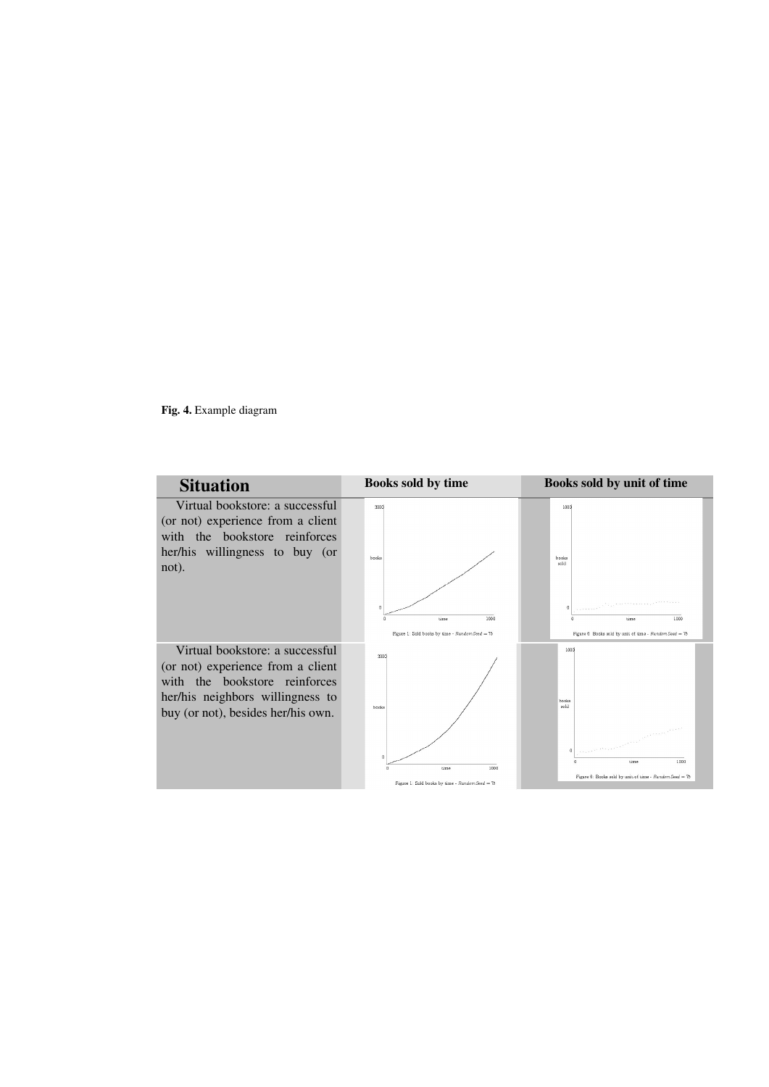**Fig. 4.** Example diagram

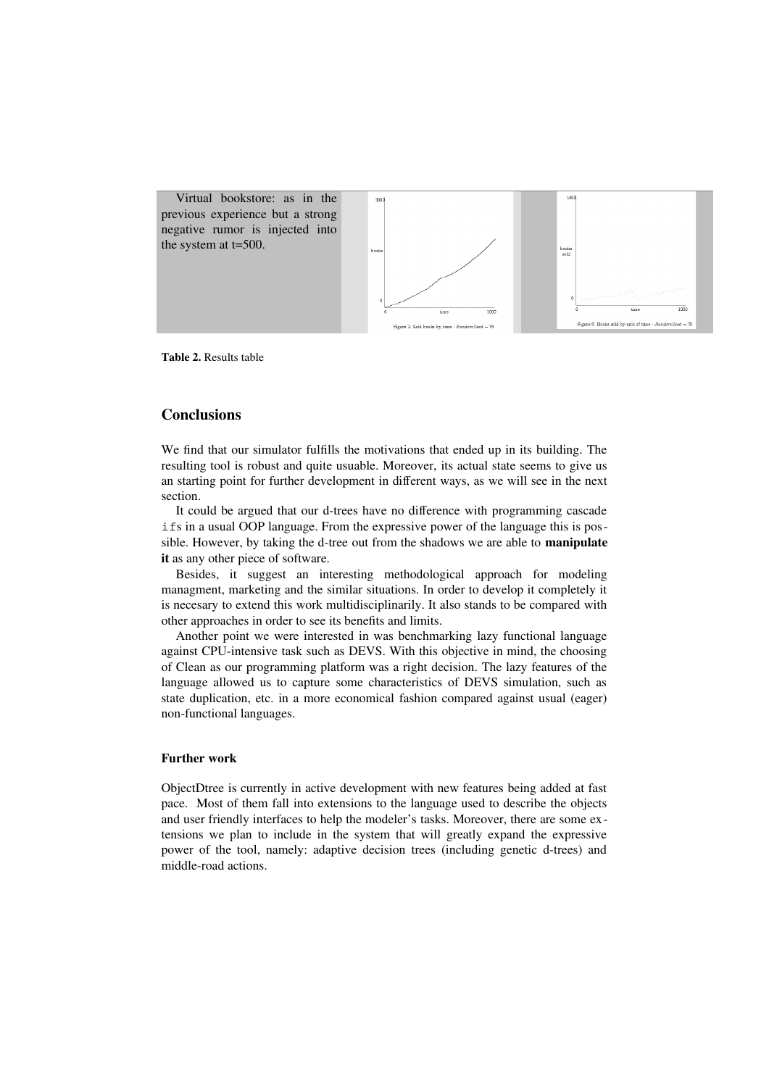

**Table 2.** Results table

## **Conclusions**

We find that our simulator fulfills the motivations that ended up in its building. The resulting tool is robust and quite usuable. Moreover, its actual state seems to give us an starting point for further development in different ways, as we will see in the next section.

It could be argued that our d-trees have no difference with programming cascade ifs in a usual OOP language. From the expressive power of the language this is possible. However, by taking the d-tree out from the shadows we are able to **manipulate it** as any other piece of software.

Besides, it suggest an interesting methodological approach for modeling managment, marketing and the similar situations. In order to develop it completely it is necesary to extend this work multidisciplinarily. It also stands to be compared with other approaches in order to see its benefits and limits.

Another point we were interested in was benchmarking lazy functional language against CPU-intensive task such as DEVS. With this objective in mind, the choosing of Clean as our programming platform was a right decision. The lazy features of the language allowed us to capture some characteristics of DEVS simulation, such as state duplication, etc. in a more economical fashion compared against usual (eager) non-functional languages.

#### **Further work**

ObjectDtree is currently in active development with new features being added at fast pace. Most of them fall into extensions to the language used to describe the objects and user friendly interfaces to help the modeler's tasks. Moreover, there are some extensions we plan to include in the system that will greatly expand the expressive power of the tool, namely: adaptive decision trees (including genetic d-trees) and middle-road actions.